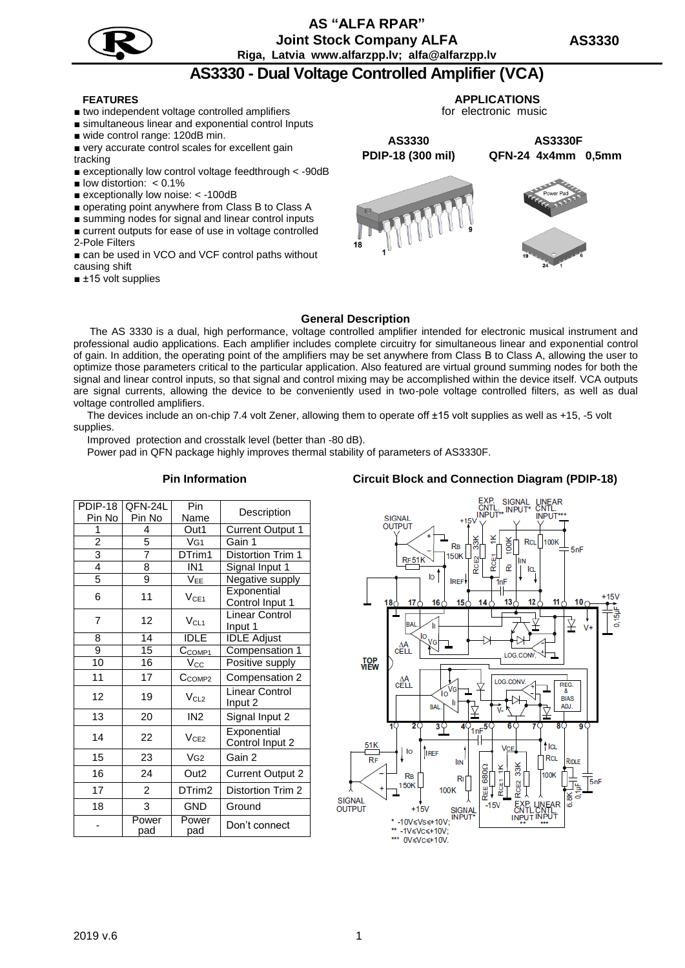## **AS "АLFA RPAR" Joint Stock Company ALFA Riga, Latvia www.alfarzpp.lv; alfa@alfarzpp.lv**

# **AS3330 - Dual Voltage Controlled Amplifier (VCA)**

- two independent voltage controlled amplifiers
- simultaneous linear and exponential control Inputs
- wide control range: 120dB min.
- very accurate control scales for excellent gain tracking
- exceptionally low control voltage feedthrough < -90dB
- $\blacksquare$  low distortion: < 0.1%
- exceptionally low noise: < -100dB
- operating point anywhere from Class B to Class A
- summing nodes for signal and linear control inputs ■ current outputs for ease of use in voltage controlled
- 2-Pole Filters
- can be used in VCO and VCF control paths without causing shift
- ±15 volt supplies

 **FEATURES APPLICATIONS**

for electronic music

**AS3330 AS3330F РDIP-18 (300 mil) QFN-24 4x4mm 0,5mm**





### **General Description**

The AS 3330 is a dual, high performance, voltage controlled amplifier intended for electronic musical instrument and professional audio applications. Each amplifier includes complete circuitry for simultaneous linear and exponential control of gain. In addition, the operating point of the amplifiers may be set anywhere from Class В to Class A, allowing the user to optimize those parameters critical to the particular application. Also featured are virtual ground summing nodes for both the signal and linear control inputs, so that signal and control mixing may be accomplished within the device itself. VCA outputs are signal currents, allowing the device to be conveniently used in two-pole voltage controlled filters, as well as dual voltage controlled amplifiers.

The devices include an on-chip 7.4 volt Zener, allowing them to operate off ±15 volt supplies as well as +15, -5 volt supplies.

Improved protection and crosstalk level (better than -80 dB).

Power pad in QFN package highly improves thermal stability of parameters of AS3330F.

### РDIP-18 Pin No QFN-24L Pin No Pin **Name** Description 1 4 Out1 Current Output 1 2 | 5 | VG1 | Gain 1 3 7 DTrim1 Distortion Trim 1 4 | 8 | IN1 | Signal Input 1  $5 \qquad 9 \qquad V_{EE} \qquad$  Negative supply 6 | 11 |  $V_{CE1}$ **Exponential** Control Input 1  $7$  12  $V_{C11}$ Linear Control Input 1 8 14 IDLE IDLE Adjust<br>9 15 C<sub>COMP1</sub> Compensati 9 15 C<sub>COMP1</sub> Compensation 1<br>10 16 V<sub>CC</sub> Positive supply 16 | V<sub>CC</sub> | Positive supply 11 | 17 |  $C_{COMP2}$  | Compensation 2 12 | 19 |  $V_{CL2}$ Linear Control Input 2 13 20 IN2 Signal Input 2 14 22  $V_{CE2}$ **Exponential** Control Input 2 15 | 23 | VG2 | Gain 2 16 | 24 | Out2 | Current Output 2 17 2 DTrim2 Distortion Trim 2 18 3 GND Ground - Power pad Power pad Don't connect

### **Pin Information Circuit Block and Connection Diagram (PDIP-18)**

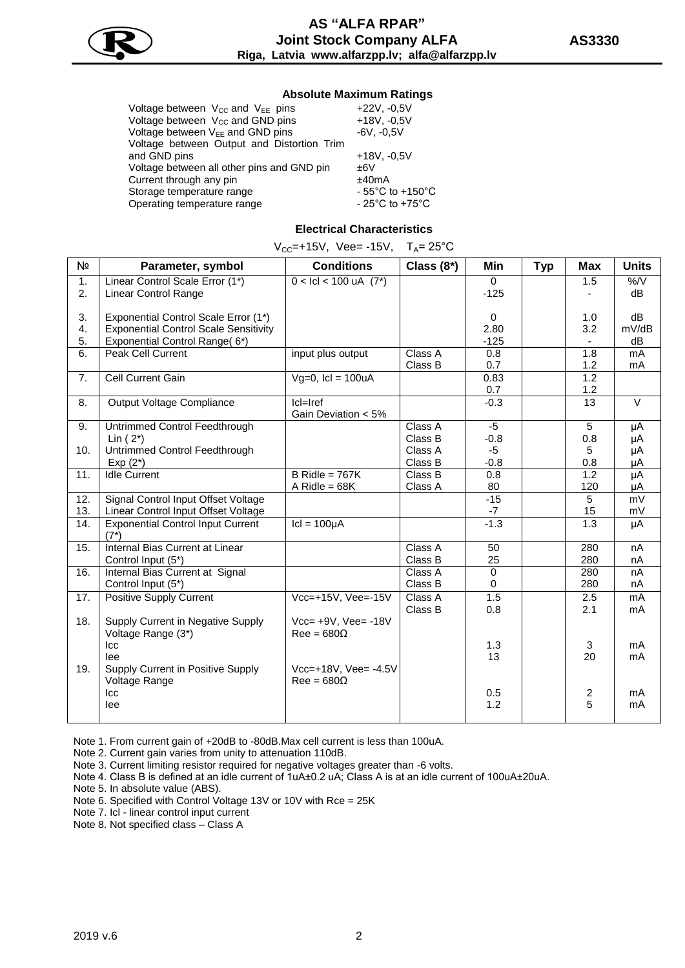

### **Absolute Maximum Ratings**

| Voltage between $V_{CC}$ and $V_{EE}$ pins   | $+22V, -0.5V$                         |
|----------------------------------------------|---------------------------------------|
| Voltage between V <sub>cc</sub> and GND pins | $+18V, -0.5V$                         |
| Voltage between V <sub>EE</sub> and GND pins | $-6V, -0.5V$                          |
| Voltage between Output and Distortion Trim   |                                       |
| and GND pins                                 | $+18V, -0.5V$                         |
| Voltage between all other pins and GND pin   | ±6V                                   |
| Current through any pin                      | ±40mA                                 |
| Storage temperature range                    | $-55^{\circ}$ C to +150 $^{\circ}$ C  |
| Operating temperature range                  | - 25 $^{\circ}$ C to +75 $^{\circ}$ C |
|                                              |                                       |

### **Electrical Characteristics**

|  |  | $V_{CC}$ =+15V, Vee= -15V, T <sub>A</sub> = 25°C |  |
|--|--|--------------------------------------------------|--|
|--|--|--------------------------------------------------|--|

| N <sub>2</sub> | Parameter, symbol                                       | <b>Conditions</b>                         | Class $(8^*)$ | Min            | <b>Typ</b> | <b>Max</b>              | <b>Units</b>      |
|----------------|---------------------------------------------------------|-------------------------------------------|---------------|----------------|------------|-------------------------|-------------------|
| 1.             | Linear Control Scale Error (1*)                         | $0 <$ Icl < 100 uA $(7^*)$                |               | $\Omega$       |            | 1.5                     | $\%$ /V           |
| 2.             | <b>Linear Control Range</b>                             |                                           |               | $-125$         |            |                         | dB                |
| 3.             | Exponential Control Scale Error (1*)                    |                                           |               | 0              |            | 1.0                     | dB                |
| 4.             | <b>Exponential Control Scale Sensitivity</b>            |                                           |               | 2.80           |            | 3.2                     | mV/dB             |
| 5.             | Exponential Control Range(6*)                           |                                           |               | $-125$         |            |                         | dB                |
| 6.             | Peak Cell Current                                       | input plus output                         | Class A       | 0.8            |            | 1.8                     | mA                |
|                |                                                         |                                           | Class B       | 0.7            |            | 1.2                     | mA                |
| 7.             | Cell Current Gain                                       | $Vg=0$ , $ cl = 100uA$                    |               | 0.83           |            | 1.2                     |                   |
|                |                                                         |                                           |               | 0.7            |            | 1.2                     |                   |
| 8.             | Output Voltage Compliance                               | Icl=Iref                                  |               | $-0.3$         |            | 13                      | $\overline{\vee}$ |
|                |                                                         | Gain Deviation < 5%                       |               |                |            |                         |                   |
| 9.             | Untrimmed Control Feedthrough                           |                                           | Class A       | $-5$           |            | $\overline{5}$          | μA                |
|                | Lin $(2^*)$                                             |                                           | Class B       | $-0.8$         |            | 0.8                     | μA                |
| 10.            | Untrimmed Control Feedthrough                           |                                           | Class A       | $-5$           |            | 5                       | μA                |
|                | $Exp(2^*)$                                              |                                           | Class B       | $-0.8$         |            | 0.8                     | μA                |
| 11.            | <b>Idle Current</b>                                     | $B$ Ridle = 767K                          | Class B       | 0.8            |            | 1.2                     | μA                |
|                |                                                         | A Ridle = $68K$                           | Class A       | 80             |            | 120                     | μA                |
| 12.            | Signal Control Input Offset Voltage                     |                                           |               | $-15$          |            | 5                       | mV                |
| 13.            | Linear Control Input Offset Voltage                     |                                           |               | $-7$           |            | 15                      | mV                |
| 14.            | <b>Exponential Control Input Current</b><br>$(7^*)$     | $ cl = 100 \mu A$                         |               | $-1.3$         |            | 1.3                     | μA                |
| 15.            | Internal Bias Current at Linear                         |                                           | Class A       | 50             |            | 280                     | nA                |
|                | Control Input (5*)                                      |                                           | Class B       | 25             |            | 280                     | nA                |
| 16.            | Internal Bias Current at Signal                         |                                           | Class A       | $\overline{0}$ |            | 280                     | nA                |
|                | Control Input (5*)                                      |                                           | Class B       | $\mathbf 0$    |            | 280                     | nA                |
| 17.            | <b>Positive Supply Current</b>                          | Vcc=+15V, Vee=-15V                        | Class A       | 1.5            |            | 2.5                     | mA                |
|                |                                                         |                                           | Class B       | 0.8            |            | 2.1                     | mA                |
| 18.            | Supply Current in Negative Supply<br>Voltage Range (3*) | Vcc= +9V, Vee= -18V<br>$Ree = 680\Omega$  |               |                |            |                         |                   |
|                | Icc                                                     |                                           |               | 1.3            |            | 3                       | mA                |
|                | lee                                                     |                                           |               | 13             |            | 20                      | mA                |
| 19.            | Supply Current in Positive Supply<br>Voltage Range      | Vcc=+18V, Vee= -4.5V<br>$Ree = 680\Omega$ |               |                |            |                         |                   |
|                | Icc                                                     |                                           |               | 0.5            |            | $\overline{\mathbf{c}}$ | mA                |
|                | lee                                                     |                                           |               | 1.2            |            | 5                       | mA                |
|                |                                                         |                                           |               |                |            |                         |                   |

Note 1. From current gain of +20dB to -80dB.Max cell current is less than 100uA.

Note 2. Current gain varies from unity to attenuation 110dB.

Note 3. Current limiting resistor required for negative voltages greater than -6 volts.

Note 4. Class B is defined at an idle current of 1uA±0.2 uA; Class A is at an idle current of 100uA±20uA.

Note 5. In absolute value (ABS).

Note 6. Specified with Control Voltage 13V or 10V with Rce = 25K

Note 7. Icl - linear control input current

Note 8. Not specified class – Class A